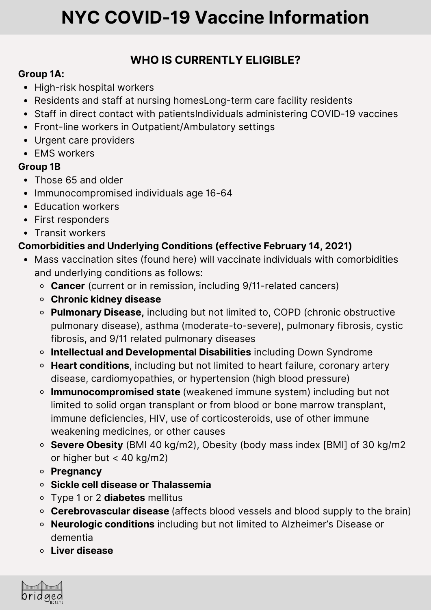## **WHO IS CURRENTLY ELIGIBLE?**

#### **Group 1A:**

- High-risk hospital workers
- Residents and staff at nursing homesLong-term care facility residents
- Staff in direct contact with patientsIndividuals administering COVID-19 vaccines
- Front-line workers in Outpatient/Ambulatory settings
- Urgent care providers
- EMS workers

#### **Group 1B**

- Those 65 and older
- Immunocompromised individuals age 16-64
- Education workers
- First responders
- Transit workers

#### **Comorbidities and Underlying Conditions (effective February 14, 2021)**

- Mass vaccination sites (found here) will vaccinate individuals with comorbidities and underlying conditions as follows:
	- **Cancer** (current or in remission, including 9/11-related cancers)
	- **Chronic kidney disease**
	- **Pulmonary Disease,** including but not limited to, COPD (chronic obstructive pulmonary disease), asthma (moderate-to-severe), pulmonary fibrosis, cystic fibrosis, and 9/11 related pulmonary diseases
	- **Intellectual and Developmental Disabilities** including Down Syndrome
	- **Heart conditions**, including but not limited to heart failure, coronary artery disease, cardiomyopathies, or hypertension (high blood pressure)
	- **Immunocompromised state** (weakened immune system) including but not limited to solid organ transplant or from blood or bone marrow transplant, immune deficiencies, HIV, use of corticosteroids, use of other immune weakening medicines, or other causes
	- **Severe Obesity** (BMI 40 kg/m2), Obesity (body mass index [BMI] of 30 kg/m2 or higher but < 40 kg/m2)
	- **Pregnancy**
	- **Sickle cell disease or Thalassemia**
	- Type 1 or 2 **diabetes** mellitus
	- **Cerebrovascular disease** (affects blood vessels and blood supply to the brain)
	- **Neurologic conditions** including but not limited to Alzheimer's Disease or dementia
	- **Liver disease**

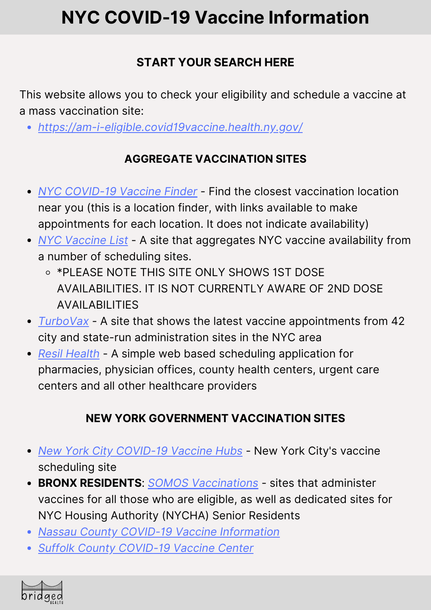# **START YOUR SEARCH HERE**

This website allows you to check your eligibility and schedule a vaccine at a mass vaccination site:

*<https://am-i-eligible.covid19vaccine.health.ny.gov/>*

## **AGGREGATE VACCINATION SITES**

- *NYC [COVID-19](https://vaccinefinder.nyc.gov/?fbclid=IwAR0CRRa1wOmH7wT2JW1NUymj4wnCUyoV3FvE1OO7qkTCqsdGtK_nElV7NHM) Vaccine Finder* Find the closest vaccination location near you (this is a location finder, with links available to make appointments for each location. It does not indicate availability)
- *NYC [Vaccine](https://nycvaccinelist.com/?fbclid=IwAR2ULH4amjbmSHzhNcAlEySteOrH4KNaR6TvbyP7-o2gIXImb09thWf_Dok) List* A site that aggregates NYC vaccine availability from a number of scheduling sites.
	- \*PLEASE NOTE THIS SITE ONLY SHOWS 1ST DOSE AVAILABILITIES. IT IS NOT CURRENTLY AWARE OF 2ND DOSE AVAILABILITIES
- *[TurboVax](https://www.turbovax.info/?fbclid=IwAR3kau-IEfcxT8MRurzxLob5jWyAdMn2obCc0SE--NPFYWMCRCnACh7nXCI)* A site that shows the latest vaccine appointments from 42 city and state-run administration sites in the NYC area
- *Resil [Health](https://resilhealth.com/covid19vaccine?fbclid=IwAR25g8D3W2Way30s3RZlW3dHSRNFJVpib06KJhMa9wTMDWocao8a1OHG830)* A simple web based scheduling application for pharmacies, physician offices, county health centers, urgent care centers and all other healthcare providers

# **NEW YORK GOVERNMENT VACCINATION SITES**

- *New York City [COVID-19](https://vax4nyc.nyc.gov/patient/s/) Vaccine Hubs* New York City's vaccine scheduling site
- **BRONX RESIDENTS**: *SOMOS [Vaccinations](https://somosvaccination.mdland.com/p/covid/)* sites that administer vaccines for all those who are eligible, as well as dedicated sites for NYC Housing Authority (NYCHA) Senior Residents
- *Nassau County COVID-19 Vaccine [Information](https://www.nassaucountyny.gov/5126/COVID-19-Vaccine-Information?fbclid=IwAR1GLaNc8t78j5Ee3HUM_DWMbcEbG-GKf0GheXff4PhMqBWwxi0tS0RUbkY)*
- *Suffolk County [COVID-19](https://www.suffolkcountyny.gov/vaccine?fbclid=IwAR30PXk8IXESZzA0nBOmL54hQBMvME3ZGveGhT8yVKrNLdn7Bae_hJHnqb0) Vaccine Center*

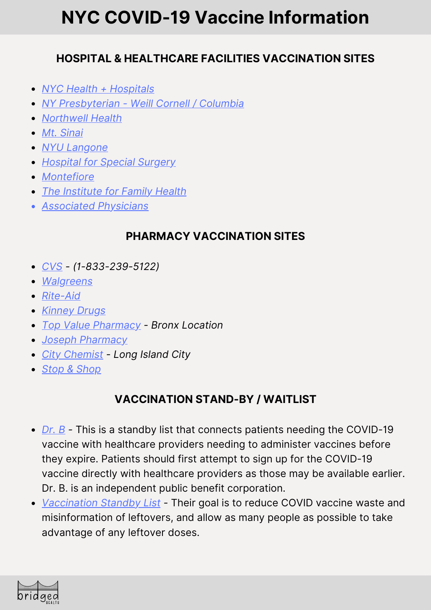### **HOSPITAL & HEALTHCARE FACILITIES VACCINATION SITES**

- *NYC Health + [Hospitals](https://covid19.nychealthandhospitals.org/UnaffiliatedHealthCareWorkers?fbclid=IwAR1GLaNc8t78j5Ee3HUM_DWMbcEbG-GKf0GheXff4PhMqBWwxi0tS0RUbkY)*
- *NY [Presbyterian](https://vaccinetogetherny.org/Pages/default.aspx?fbclid=IwAR25g8D3W2Way30s3RZlW3dHSRNFJVpib06KJhMa9wTMDWocao8a1OHG830) - Weill Cornell / Columbia*
- *[Northwell](https://www.northwell.edu/coronavirus-covid-19/vaccine?fbclid=IwAR0ffDG0axfzyMXCvr4sYx1b1rsGilsy3Qk7nJJkH8XkeFcda8W2WnP_Lbk) Health*
- *Mt. [Sinai](https://www.mountsinai.org/about/covid19/vaccine-information/schedule?fbclid=IwAR2AmYX2inNTfGkD9jCNvshaNAqX6Tb-zhXlgNZyk-LLIZFfbWd7q0oxKCk)*
- *NYU [Langone](https://nyulangone.org/locations/covid-19-vaccine?fbclid=IwAR077l-pJxUWm-KnKeJQDhvljujELEWMbC50k3USFgSUSh6o4elbeNNH6mU)*
- *[Hospital](https://www.hss.edu/covid-vaccine-community.asp?fbclid=IwAR2ULH4amjbmSHzhNcAlEySteOrH4KNaR6TvbyP7-o2gIXImb09thWf_Dok) for Special Surgery*
- *[Montefiore](https://covid19.montefiore.org/home?fbclid=IwAR1vDGVGe7kFji-kqxKO3rhbzr5ae273yXPEN6_x17OtrXMkrK5WOQ8DSEA)*
- *The [Institute](https://mychart.institute.org/mychart/openscheduling?specialty=86&fbclid=IwAR2xmkjlLs21rlsoGdjc5L6aiR-zCMBs5X1fHD84m0-wB3IbMeCtr036l3U) for Family Health*
- *[Associated](https://www.apschedule.com/schedule/authentication/login?fbclid=IwAR0AoWH4V8Gv6JoDKa-V4uukWul2q5ZjmpRt2PvNFvsXYCEZHE1DTzxfU0s) Physicians*

#### **PHARMACY VACCINATION SITES**

- *[CVS](https://www.cvs.com/immunizations/covid-19-vaccine?fbclid=IwAR27Q-xine2TbAulW1FzDywKqVaFFL_Yv0UilmMCS7CB-LkkKr2UO4I0NEY#statetool) - (1-833-239-5122)*
- *[Walgreens](https://www.walgreens.com/findcare/vaccination/covid-19?fbclid=IwAR2Q0iom8Fysz3dHpviTcb452fbrmRo30r8PKjDyJbpWcD2q1TU6WlgoXvM)*
- *[Rite-Aid](https://www.riteaid.com/pharmacy/apt-scheduler?fbclid=IwAR1FP4qtN6k37_rOaSCpaJSohogsAmww9TZhFZ8NNza-KtwQ5lWSQ9gWUfo)*
- *[Kinney](https://www.kinneydrugs.com/pharmacy/covid-19/vaccination-scheduling/ny/?fbclid=IwAR3lQCbF9uN79cwDbV31Wf5BwymJ5HzgXm7ZV0ZGi85LiCC3vQsOlb1zXXo) Drugs*
- *Top Value [Pharmacy](https://resilhealth.com/topvaluepharmacy?fbclid=IwAR2xmkjlLs21rlsoGdjc5L6aiR-zCMBs5X1fHD84m0-wB3IbMeCtr036l3U) - Bronx Location*
- *Joseph [Pharmacy](https://www.josephspharmacy.com/?fbclid=IwAR1vDGVGe7kFji-kqxKO3rhbzr5ae273yXPEN6_x17OtrXMkrK5WOQ8DSEA)*
- *City [Chemist](https://www.city-chemist.com/long-island-city-1?fbclid=IwAR1I9jUt7FQejBY-k3qH9J2tq8ELiwkspPQtlxujuPH0lYg0jQWxo4G5Un8) - Long Island City*
- *Stop & [Shop](https://stopandshopsched.rxtouch.com/rbssched/program/covid19/Patient/Advisory)*

## **VACCINATION STAND-BY / WAITLIST**

- *[Dr.](https://hidrb.com/?fbclid=IwAR2F9dT24G-GvGqMcSsQ-lLbthWmE0zzxQLspkbCz5pthZVvSieclp5Y8TQ) B -* This is a standby list that connects patients needing the COVID-19 vaccine with healthcare providers needing to administer vaccines before they expire. Patients should first attempt to sign up for the COVID-19 vaccine directly with healthcare providers as those may be available earlier. Dr. B. is an independent public benefit corporation.
- *[Vaccination](https://vaxstandby.com/?fbclid=IwAR0CRRa1wOmH7wT2JW1NUymj4wnCUyoV3FvE1OO7qkTCqsdGtK_nElV7NHM) Standby List -* Their goal is to reduce COVID vaccine waste and misinformation of leftovers, and allow as many people as possible to take advantage of any leftover doses.

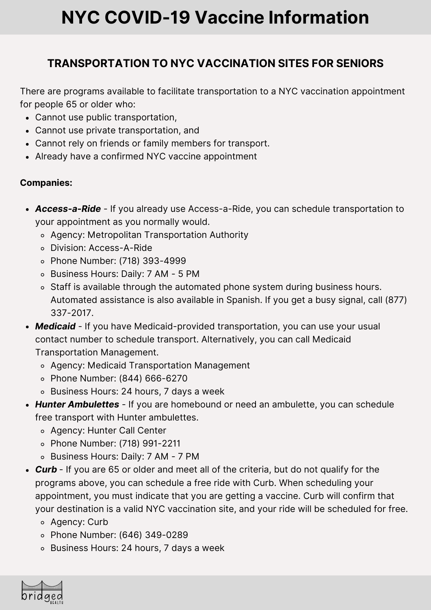### **TRANSPORTATION TO NYC VACCINATION SITES FOR SENIORS**

There are programs available to facilitate transportation to a NYC vaccination appointment for people 65 or older who:

- Cannot use public transportation,
- Cannot use private transportation, and
- Cannot rely on friends or family members for transport.
- Already have a confirmed NYC vaccine appointment

#### **Companies:**

- *Access-a-Ride* If you already use Access-a-Ride, you can schedule transportation to your appointment as you normally would.
	- Agency: Metropolitan Transportation Authority
	- Division: Access-A-Ride
	- Phone Number: (718) 393-4999
	- Business Hours: Daily: 7 AM 5 PM
	- o Staff is available through the automated phone system during business hours. Automated assistance is also available in Spanish. If you get a busy signal, call (877) 337-2017.
- *Medicaid* If you have Medicaid-provided transportation, you can use your usual contact number to schedule transport. Alternatively, you can call Medicaid Transportation Management.
	- Agency: Medicaid Transportation Management
	- Phone Number: (844) 666-6270
	- Business Hours: 24 hours, 7 days a week
- *Hunter Ambulettes* If you are homebound or need an ambulette, you can schedule free transport with Hunter ambulettes.
	- Agency: Hunter Call Center
	- Phone Number: (718) 991-2211
	- Business Hours: Daily: 7 AM 7 PM
- *Curb* If you are 65 or older and meet all of the criteria, but do not qualify for the programs above, you can schedule a free ride with Curb. When scheduling your appointment, you must indicate that you are getting a vaccine. Curb will confirm that your destination is a valid NYC vaccination site, and your ride will be scheduled for free.
	- Agency: Curb
	- Phone Number: (646) 349-0289
	- Business Hours: 24 hours, 7 days a week